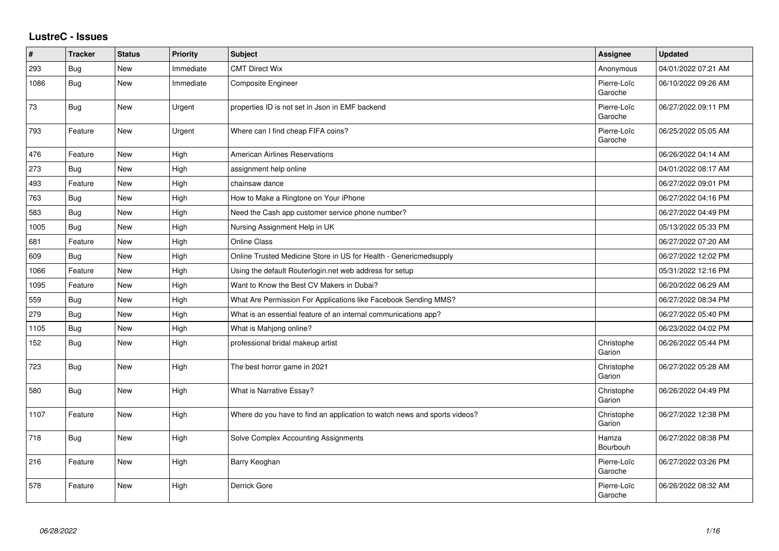## **LustreC - Issues**

| $\#$ | <b>Tracker</b> | <b>Status</b> | <b>Priority</b> | <b>Subject</b>                                                            | <b>Assignee</b>        | <b>Updated</b>      |
|------|----------------|---------------|-----------------|---------------------------------------------------------------------------|------------------------|---------------------|
| 293  | Bug            | New           | Immediate       | <b>CMT Direct Wix</b>                                                     | Anonymous              | 04/01/2022 07:21 AM |
| 1086 | <b>Bug</b>     | New           | Immediate       | Composite Engineer                                                        | Pierre-Loïc<br>Garoche | 06/10/2022 09:26 AM |
| 73   | Bug            | <b>New</b>    | Urgent          | properties ID is not set in Json in EMF backend                           | Pierre-Loïc<br>Garoche | 06/27/2022 09:11 PM |
| 793  | Feature        | New           | Urgent          | Where can I find cheap FIFA coins?                                        | Pierre-Loïc<br>Garoche | 06/25/2022 05:05 AM |
| 476  | Feature        | New           | High            | <b>American Airlines Reservations</b>                                     |                        | 06/26/2022 04:14 AM |
| 273  | <b>Bug</b>     | New           | High            | assignment help online                                                    |                        | 04/01/2022 08:17 AM |
| 493  | Feature        | New           | High            | chainsaw dance                                                            |                        | 06/27/2022 09:01 PM |
| 763  | Bug            | <b>New</b>    | High            | How to Make a Ringtone on Your iPhone                                     |                        | 06/27/2022 04:16 PM |
| 583  | Bug            | New           | High            | Need the Cash app customer service phone number?                          |                        | 06/27/2022 04:49 PM |
| 1005 | <b>Bug</b>     | New           | High            | Nursing Assignment Help in UK                                             |                        | 05/13/2022 05:33 PM |
| 681  | Feature        | New           | High            | <b>Online Class</b>                                                       |                        | 06/27/2022 07:20 AM |
| 609  | <b>Bug</b>     | New           | High            | Online Trusted Medicine Store in US for Health - Genericmedsupply         |                        | 06/27/2022 12:02 PM |
| 1066 | Feature        | <b>New</b>    | High            | Using the default Routerlogin.net web address for setup                   |                        | 05/31/2022 12:16 PM |
| 1095 | Feature        | New           | High            | Want to Know the Best CV Makers in Dubai?                                 |                        | 06/20/2022 06:29 AM |
| 559  | <b>Bug</b>     | <b>New</b>    | High            | What Are Permission For Applications like Facebook Sending MMS?           |                        | 06/27/2022 08:34 PM |
| 279  | <b>Bug</b>     | New           | High            | What is an essential feature of an internal communications app?           |                        | 06/27/2022 05:40 PM |
| 1105 | <b>Bug</b>     | <b>New</b>    | High            | What is Mahjong online?                                                   |                        | 06/23/2022 04:02 PM |
| 152  | <b>Bug</b>     | New           | High            | professional bridal makeup artist                                         | Christophe<br>Garion   | 06/26/2022 05:44 PM |
| 723  | <b>Bug</b>     | New           | High            | The best horror game in 2021                                              | Christophe<br>Garion   | 06/27/2022 05:28 AM |
| 580  | <b>Bug</b>     | <b>New</b>    | High            | What is Narrative Essay?                                                  | Christophe<br>Garion   | 06/26/2022 04:49 PM |
| 1107 | Feature        | New           | High            | Where do you have to find an application to watch news and sports videos? | Christophe<br>Garion   | 06/27/2022 12:38 PM |
| 718  | <b>Bug</b>     | New           | High            | Solve Complex Accounting Assignments                                      | Hamza<br>Bourbouh      | 06/27/2022 08:38 PM |
| 216  | Feature        | New           | High            | Barry Keoghan                                                             | Pierre-Loïc<br>Garoche | 06/27/2022 03:26 PM |
| 578  | Feature        | <b>New</b>    | High            | Derrick Gore                                                              | Pierre-Loïc<br>Garoche | 06/26/2022 08:32 AM |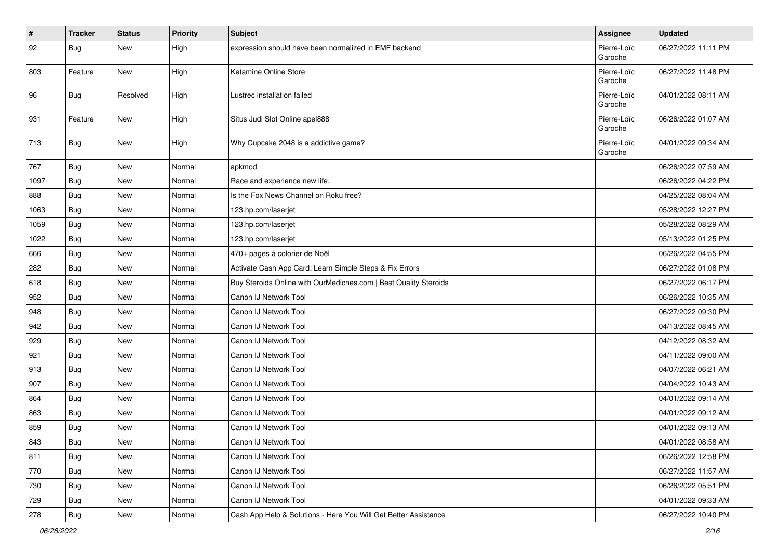| #    | <b>Tracker</b> | <b>Status</b> | Priority | <b>Subject</b>                                                   | <b>Assignee</b>        | <b>Updated</b>      |
|------|----------------|---------------|----------|------------------------------------------------------------------|------------------------|---------------------|
| 92   | Bug            | New           | High     | expression should have been normalized in EMF backend            | Pierre-Loïc<br>Garoche | 06/27/2022 11:11 PM |
| 803  | Feature        | New           | High     | Ketamine Online Store                                            | Pierre-Loïc<br>Garoche | 06/27/2022 11:48 PM |
| 96   | <b>Bug</b>     | Resolved      | High     | Lustrec installation failed                                      | Pierre-Loïc<br>Garoche | 04/01/2022 08:11 AM |
| 931  | Feature        | New           | High     | Situs Judi Slot Online apel888                                   | Pierre-Loïc<br>Garoche | 06/26/2022 01:07 AM |
| 713  | <b>Bug</b>     | New           | High     | Why Cupcake 2048 is a addictive game?                            | Pierre-Loïc<br>Garoche | 04/01/2022 09:34 AM |
| 767  | <b>Bug</b>     | New           | Normal   | apkmod                                                           |                        | 06/26/2022 07:59 AM |
| 1097 | <b>Bug</b>     | New           | Normal   | Race and experience new life.                                    |                        | 06/26/2022 04:22 PM |
| 888  | Bug            | New           | Normal   | Is the Fox News Channel on Roku free?                            |                        | 04/25/2022 08:04 AM |
| 1063 | <b>Bug</b>     | New           | Normal   | 123.hp.com/laserjet                                              |                        | 05/28/2022 12:27 PM |
| 1059 | Bug            | New           | Normal   | 123.hp.com/laserjet                                              |                        | 05/28/2022 08:29 AM |
| 1022 | <b>Bug</b>     | New           | Normal   | 123.hp.com/laserjet                                              |                        | 05/13/2022 01:25 PM |
| 666  | Bug            | New           | Normal   | 470+ pages à colorier de Noël                                    |                        | 06/26/2022 04:55 PM |
| 282  | Bug            | New           | Normal   | Activate Cash App Card: Learn Simple Steps & Fix Errors          |                        | 06/27/2022 01:08 PM |
| 618  | <b>Bug</b>     | New           | Normal   | Buy Steroids Online with OurMedicnes.com   Best Quality Steroids |                        | 06/27/2022 06:17 PM |
| 952  | <b>Bug</b>     | New           | Normal   | Canon IJ Network Tool                                            |                        | 06/26/2022 10:35 AM |
| 948  | Bug            | New           | Normal   | Canon IJ Network Tool                                            |                        | 06/27/2022 09:30 PM |
| 942  | <b>Bug</b>     | New           | Normal   | Canon IJ Network Tool                                            |                        | 04/13/2022 08:45 AM |
| 929  | <b>Bug</b>     | New           | Normal   | Canon IJ Network Tool                                            |                        | 04/12/2022 08:32 AM |
| 921  | <b>Bug</b>     | New           | Normal   | Canon IJ Network Tool                                            |                        | 04/11/2022 09:00 AM |
| 913  | <b>Bug</b>     | New           | Normal   | Canon IJ Network Tool                                            |                        | 04/07/2022 06:21 AM |
| 907  | <b>Bug</b>     | New           | Normal   | Canon IJ Network Tool                                            |                        | 04/04/2022 10:43 AM |
| 864  | <b>Bug</b>     | New           | Normal   | Canon IJ Network Tool                                            |                        | 04/01/2022 09:14 AM |
| 863  | <b>Bug</b>     | New           | Normal   | Canon IJ Network Tool                                            |                        | 04/01/2022 09:12 AM |
| 859  | <b>Bug</b>     | New           | Normal   | Canon IJ Network Tool                                            |                        | 04/01/2022 09:13 AM |
| 843  | <b>Bug</b>     | New           | Normal   | Canon IJ Network Tool                                            |                        | 04/01/2022 08:58 AM |
| 811  | <b>Bug</b>     | New           | Normal   | Canon IJ Network Tool                                            |                        | 06/26/2022 12:58 PM |
| 770  | <b>Bug</b>     | New           | Normal   | Canon IJ Network Tool                                            |                        | 06/27/2022 11:57 AM |
| 730  | Bug            | New           | Normal   | Canon IJ Network Tool                                            |                        | 06/26/2022 05:51 PM |
| 729  | <b>Bug</b>     | New           | Normal   | Canon IJ Network Tool                                            |                        | 04/01/2022 09:33 AM |
| 278  | <b>Bug</b>     | New           | Normal   | Cash App Help & Solutions - Here You Will Get Better Assistance  |                        | 06/27/2022 10:40 PM |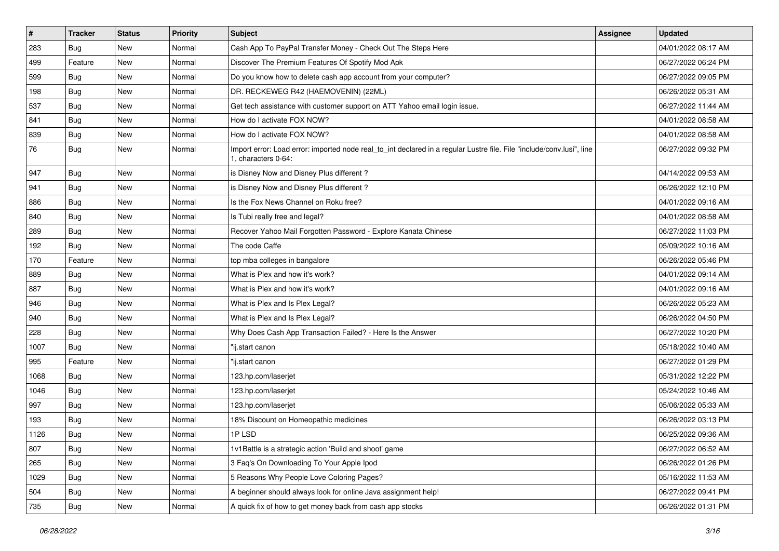| $\sharp$ | <b>Tracker</b> | <b>Status</b> | <b>Priority</b> | Subject                                                                                                                                      | <b>Assignee</b> | <b>Updated</b>      |
|----------|----------------|---------------|-----------------|----------------------------------------------------------------------------------------------------------------------------------------------|-----------------|---------------------|
| 283      | Bug            | New           | Normal          | Cash App To PayPal Transfer Money - Check Out The Steps Here                                                                                 |                 | 04/01/2022 08:17 AM |
| 499      | Feature        | New           | Normal          | Discover The Premium Features Of Spotify Mod Apk                                                                                             |                 | 06/27/2022 06:24 PM |
| 599      | <b>Bug</b>     | New           | Normal          | Do you know how to delete cash app account from your computer?                                                                               |                 | 06/27/2022 09:05 PM |
| 198      | Bug            | New           | Normal          | DR. RECKEWEG R42 (HAEMOVENIN) (22ML)                                                                                                         |                 | 06/26/2022 05:31 AM |
| 537      | <b>Bug</b>     | <b>New</b>    | Normal          | Get tech assistance with customer support on ATT Yahoo email login issue.                                                                    |                 | 06/27/2022 11:44 AM |
| 841      | <b>Bug</b>     | New           | Normal          | How do I activate FOX NOW?                                                                                                                   |                 | 04/01/2022 08:58 AM |
| 839      | <b>Bug</b>     | New           | Normal          | How do I activate FOX NOW?                                                                                                                   |                 | 04/01/2022 08:58 AM |
| 76       | Bug            | New           | Normal          | Import error: Load error: imported node real_to_int declared in a regular Lustre file. File "include/conv.lusi", line<br>1, characters 0-64: |                 | 06/27/2022 09:32 PM |
| 947      | Bug            | <b>New</b>    | Normal          | is Disney Now and Disney Plus different?                                                                                                     |                 | 04/14/2022 09:53 AM |
| 941      | Bug            | New           | Normal          | is Disney Now and Disney Plus different?                                                                                                     |                 | 06/26/2022 12:10 PM |
| 886      | <b>Bug</b>     | New           | Normal          | Is the Fox News Channel on Roku free?                                                                                                        |                 | 04/01/2022 09:16 AM |
| 840      | Bug            | New           | Normal          | Is Tubi really free and legal?                                                                                                               |                 | 04/01/2022 08:58 AM |
| 289      | Bug            | New           | Normal          | Recover Yahoo Mail Forgotten Password - Explore Kanata Chinese                                                                               |                 | 06/27/2022 11:03 PM |
| 192      | Bug            | <b>New</b>    | Normal          | The code Caffe                                                                                                                               |                 | 05/09/2022 10:16 AM |
| 170      | Feature        | New           | Normal          | top mba colleges in bangalore                                                                                                                |                 | 06/26/2022 05:46 PM |
| 889      | <b>Bug</b>     | New           | Normal          | What is Plex and how it's work?                                                                                                              |                 | 04/01/2022 09:14 AM |
| 887      | <b>Bug</b>     | New           | Normal          | What is Plex and how it's work?                                                                                                              |                 | 04/01/2022 09:16 AM |
| 946      | <b>Bug</b>     | New           | Normal          | What is Plex and Is Plex Legal?                                                                                                              |                 | 06/26/2022 05:23 AM |
| 940      | <b>Bug</b>     | New           | Normal          | What is Plex and Is Plex Legal?                                                                                                              |                 | 06/26/2022 04:50 PM |
| 228      | <b>Bug</b>     | New           | Normal          | Why Does Cash App Transaction Failed? - Here Is the Answer                                                                                   |                 | 06/27/2022 10:20 PM |
| 1007     | Bug            | <b>New</b>    | Normal          | "ij.start canon                                                                                                                              |                 | 05/18/2022 10:40 AM |
| 995      | Feature        | <b>New</b>    | Normal          | "ij.start canon                                                                                                                              |                 | 06/27/2022 01:29 PM |
| 1068     | Bug            | New           | Normal          | 123.hp.com/laserjet                                                                                                                          |                 | 05/31/2022 12:22 PM |
| 1046     | <b>Bug</b>     | New           | Normal          | 123.hp.com/laserjet                                                                                                                          |                 | 05/24/2022 10:46 AM |
| 997      | <b>Bug</b>     | New           | Normal          | 123.hp.com/laserjet                                                                                                                          |                 | 05/06/2022 05:33 AM |
| 193      | Bug            | New           | Normal          | 18% Discount on Homeopathic medicines                                                                                                        |                 | 06/26/2022 03:13 PM |
| 1126     | <b>Bug</b>     | New           | Normal          | 1PLSD                                                                                                                                        |                 | 06/25/2022 09:36 AM |
| 807      | <b>Bug</b>     | New           | Normal          | 1v1Battle is a strategic action 'Build and shoot' game                                                                                       |                 | 06/27/2022 06:52 AM |
| 265      | <b>Bug</b>     | New           | Normal          | 3 Faq's On Downloading To Your Apple Ipod                                                                                                    |                 | 06/26/2022 01:26 PM |
| 1029     | Bug            | New           | Normal          | 5 Reasons Why People Love Coloring Pages?                                                                                                    |                 | 05/16/2022 11:53 AM |
| 504      | Bug            | New           | Normal          | A beginner should always look for online Java assignment help!                                                                               |                 | 06/27/2022 09:41 PM |
| 735      | <b>Bug</b>     | New           | Normal          | A quick fix of how to get money back from cash app stocks                                                                                    |                 | 06/26/2022 01:31 PM |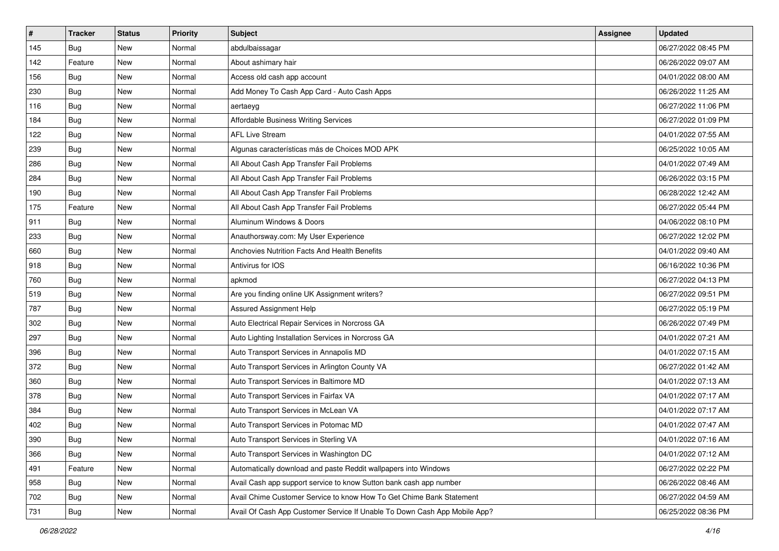| $\sharp$ | <b>Tracker</b> | <b>Status</b> | Priority | Subject                                                                   | <b>Assignee</b> | <b>Updated</b>      |
|----------|----------------|---------------|----------|---------------------------------------------------------------------------|-----------------|---------------------|
| 145      | Bug            | New           | Normal   | abdulbaissagar                                                            |                 | 06/27/2022 08:45 PM |
| 142      | Feature        | <b>New</b>    | Normal   | About ashimary hair                                                       |                 | 06/26/2022 09:07 AM |
| 156      | <b>Bug</b>     | New           | Normal   | Access old cash app account                                               |                 | 04/01/2022 08:00 AM |
| 230      | <b>Bug</b>     | New           | Normal   | Add Money To Cash App Card - Auto Cash Apps                               |                 | 06/26/2022 11:25 AM |
| 116      | <b>Bug</b>     | <b>New</b>    | Normal   | aertaeyg                                                                  |                 | 06/27/2022 11:06 PM |
| 184      | <b>Bug</b>     | New           | Normal   | Affordable Business Writing Services                                      |                 | 06/27/2022 01:09 PM |
| 122      | <b>Bug</b>     | New           | Normal   | <b>AFL Live Stream</b>                                                    |                 | 04/01/2022 07:55 AM |
| 239      | Bug            | New           | Normal   | Algunas características más de Choices MOD APK                            |                 | 06/25/2022 10:05 AM |
| 286      | <b>Bug</b>     | New           | Normal   | All About Cash App Transfer Fail Problems                                 |                 | 04/01/2022 07:49 AM |
| 284      | <b>Bug</b>     | <b>New</b>    | Normal   | All About Cash App Transfer Fail Problems                                 |                 | 06/26/2022 03:15 PM |
| 190      | Bug            | New           | Normal   | All About Cash App Transfer Fail Problems                                 |                 | 06/28/2022 12:42 AM |
| 175      | Feature        | New           | Normal   | All About Cash App Transfer Fail Problems                                 |                 | 06/27/2022 05:44 PM |
| 911      | <b>Bug</b>     | New           | Normal   | Aluminum Windows & Doors                                                  |                 | 04/06/2022 08:10 PM |
| 233      | <b>Bug</b>     | New           | Normal   | Anauthorsway.com: My User Experience                                      |                 | 06/27/2022 12:02 PM |
| 660      | <b>Bug</b>     | New           | Normal   | Anchovies Nutrition Facts And Health Benefits                             |                 | 04/01/2022 09:40 AM |
| 918      | <b>Bug</b>     | New           | Normal   | Antivirus for IOS                                                         |                 | 06/16/2022 10:36 PM |
| 760      | <b>Bug</b>     | New           | Normal   | apkmod                                                                    |                 | 06/27/2022 04:13 PM |
| 519      | Bug            | <b>New</b>    | Normal   | Are you finding online UK Assignment writers?                             |                 | 06/27/2022 09:51 PM |
| 787      | Bug            | New           | Normal   | Assured Assignment Help                                                   |                 | 06/27/2022 05:19 PM |
| 302      | <b>Bug</b>     | New           | Normal   | Auto Electrical Repair Services in Norcross GA                            |                 | 06/26/2022 07:49 PM |
| 297      | Bug            | New           | Normal   | Auto Lighting Installation Services in Norcross GA                        |                 | 04/01/2022 07:21 AM |
| 396      | <b>Bug</b>     | New           | Normal   | Auto Transport Services in Annapolis MD                                   |                 | 04/01/2022 07:15 AM |
| 372      | <b>Bug</b>     | <b>New</b>    | Normal   | Auto Transport Services in Arlington County VA                            |                 | 06/27/2022 01:42 AM |
| 360      | <b>Bug</b>     | New           | Normal   | Auto Transport Services in Baltimore MD                                   |                 | 04/01/2022 07:13 AM |
| 378      | <b>Bug</b>     | New           | Normal   | Auto Transport Services in Fairfax VA                                     |                 | 04/01/2022 07:17 AM |
| 384      | <b>Bug</b>     | New           | Normal   | Auto Transport Services in McLean VA                                      |                 | 04/01/2022 07:17 AM |
| 402      | Bug            | <b>New</b>    | Normal   | Auto Transport Services in Potomac MD                                     |                 | 04/01/2022 07:47 AM |
| 390      | <b>Bug</b>     | New           | Normal   | Auto Transport Services in Sterling VA                                    |                 | 04/01/2022 07:16 AM |
| 366      | Bug            | New           | Normal   | Auto Transport Services in Washington DC                                  |                 | 04/01/2022 07:12 AM |
| 491      | Feature        | New           | Normal   | Automatically download and paste Reddit wallpapers into Windows           |                 | 06/27/2022 02:22 PM |
| 958      | Bug            | New           | Normal   | Avail Cash app support service to know Sutton bank cash app number        |                 | 06/26/2022 08:46 AM |
| 702      | Bug            | New           | Normal   | Avail Chime Customer Service to know How To Get Chime Bank Statement      |                 | 06/27/2022 04:59 AM |
| 731      | Bug            | New           | Normal   | Avail Of Cash App Customer Service If Unable To Down Cash App Mobile App? |                 | 06/25/2022 08:36 PM |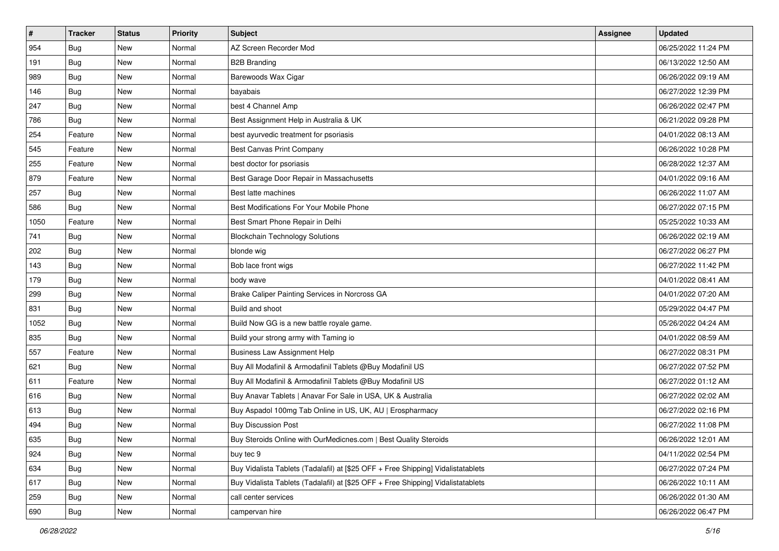| #    | <b>Tracker</b> | <b>Status</b> | <b>Priority</b> | Subject                                                                          | <b>Assignee</b> | <b>Updated</b>      |
|------|----------------|---------------|-----------------|----------------------------------------------------------------------------------|-----------------|---------------------|
| 954  | <b>Bug</b>     | New           | Normal          | AZ Screen Recorder Mod                                                           |                 | 06/25/2022 11:24 PM |
| 191  | Bug            | <b>New</b>    | Normal          | <b>B2B Branding</b>                                                              |                 | 06/13/2022 12:50 AM |
| 989  | Bug            | New           | Normal          | Barewoods Wax Cigar                                                              |                 | 06/26/2022 09:19 AM |
| 146  | <b>Bug</b>     | New           | Normal          | bayabais                                                                         |                 | 06/27/2022 12:39 PM |
| 247  | <b>Bug</b>     | <b>New</b>    | Normal          | best 4 Channel Amp                                                               |                 | 06/26/2022 02:47 PM |
| 786  | <b>Bug</b>     | New           | Normal          | Best Assignment Help in Australia & UK                                           |                 | 06/21/2022 09:28 PM |
| 254  | Feature        | New           | Normal          | best ayurvedic treatment for psoriasis                                           |                 | 04/01/2022 08:13 AM |
| 545  | Feature        | New           | Normal          | Best Canvas Print Company                                                        |                 | 06/26/2022 10:28 PM |
| 255  | Feature        | New           | Normal          | best doctor for psoriasis                                                        |                 | 06/28/2022 12:37 AM |
| 879  | Feature        | <b>New</b>    | Normal          | Best Garage Door Repair in Massachusetts                                         |                 | 04/01/2022 09:16 AM |
| 257  | <b>Bug</b>     | New           | Normal          | Best latte machines                                                              |                 | 06/26/2022 11:07 AM |
| 586  | <b>Bug</b>     | New           | Normal          | Best Modifications For Your Mobile Phone                                         |                 | 06/27/2022 07:15 PM |
| 1050 | Feature        | New           | Normal          | Best Smart Phone Repair in Delhi                                                 |                 | 05/25/2022 10:33 AM |
| 741  | Bug            | New           | Normal          | <b>Blockchain Technology Solutions</b>                                           |                 | 06/26/2022 02:19 AM |
| 202  | <b>Bug</b>     | New           | Normal          | blonde wig                                                                       |                 | 06/27/2022 06:27 PM |
| 143  | <b>Bug</b>     | New           | Normal          | Bob lace front wigs                                                              |                 | 06/27/2022 11:42 PM |
| 179  | <b>Bug</b>     | New           | Normal          | body wave                                                                        |                 | 04/01/2022 08:41 AM |
| 299  | <b>Bug</b>     | New           | Normal          | Brake Caliper Painting Services in Norcross GA                                   |                 | 04/01/2022 07:20 AM |
| 831  | <b>Bug</b>     | New           | Normal          | Build and shoot                                                                  |                 | 05/29/2022 04:47 PM |
| 1052 | <b>Bug</b>     | New           | Normal          | Build Now GG is a new battle royale game.                                        |                 | 05/26/2022 04:24 AM |
| 835  | Bug            | New           | Normal          | Build your strong army with Taming io                                            |                 | 04/01/2022 08:59 AM |
| 557  | Feature        | New           | Normal          | <b>Business Law Assignment Help</b>                                              |                 | 06/27/2022 08:31 PM |
| 621  | <b>Bug</b>     | <b>New</b>    | Normal          | Buy All Modafinil & Armodafinil Tablets @Buy Modafinil US                        |                 | 06/27/2022 07:52 PM |
| 611  | Feature        | New           | Normal          | Buy All Modafinil & Armodafinil Tablets @Buy Modafinil US                        |                 | 06/27/2022 01:12 AM |
| 616  | <b>Bug</b>     | New           | Normal          | Buy Anavar Tablets   Anavar For Sale in USA, UK & Australia                      |                 | 06/27/2022 02:02 AM |
| 613  | Bug            | New           | Normal          | Buy Aspadol 100mg Tab Online in US, UK, AU   Erospharmacy                        |                 | 06/27/2022 02:16 PM |
| 494  | <b>Bug</b>     | <b>New</b>    | Normal          | <b>Buy Discussion Post</b>                                                       |                 | 06/27/2022 11:08 PM |
| 635  | <b>Bug</b>     | New           | Normal          | Buy Steroids Online with OurMedicnes.com   Best Quality Steroids                 |                 | 06/26/2022 12:01 AM |
| 924  | Bug            | New           | Normal          | buy tec 9                                                                        |                 | 04/11/2022 02:54 PM |
| 634  | Bug            | New           | Normal          | Buy Vidalista Tablets (Tadalafil) at [\$25 OFF + Free Shipping] Vidalistatablets |                 | 06/27/2022 07:24 PM |
| 617  | Bug            | New           | Normal          | Buy Vidalista Tablets (Tadalafil) at [\$25 OFF + Free Shipping] Vidalistatablets |                 | 06/26/2022 10:11 AM |
| 259  | Bug            | New           | Normal          | call center services                                                             |                 | 06/26/2022 01:30 AM |
| 690  | <b>Bug</b>     | New           | Normal          | campervan hire                                                                   |                 | 06/26/2022 06:47 PM |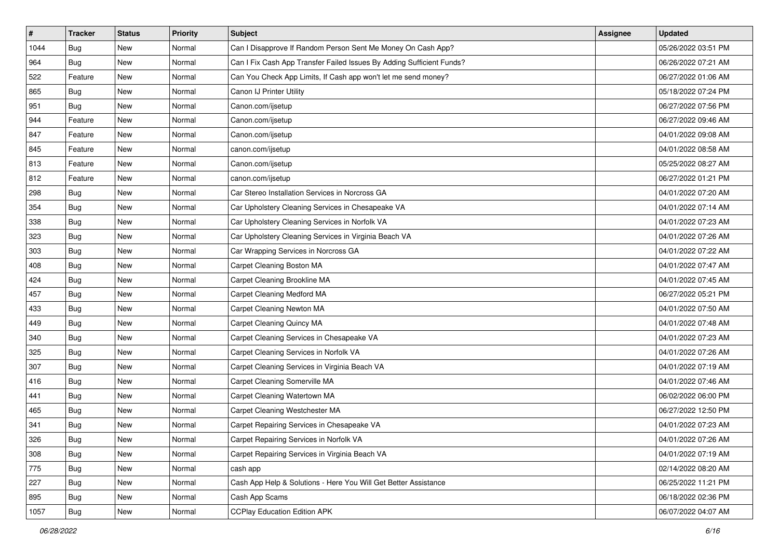| #    | <b>Tracker</b> | <b>Status</b> | <b>Priority</b> | Subject                                                               | <b>Assignee</b> | <b>Updated</b>      |
|------|----------------|---------------|-----------------|-----------------------------------------------------------------------|-----------------|---------------------|
| 1044 | <b>Bug</b>     | New           | Normal          | Can I Disapprove If Random Person Sent Me Money On Cash App?          |                 | 05/26/2022 03:51 PM |
| 964  | Bug            | New           | Normal          | Can I Fix Cash App Transfer Failed Issues By Adding Sufficient Funds? |                 | 06/26/2022 07:21 AM |
| 522  | Feature        | New           | Normal          | Can You Check App Limits, If Cash app won't let me send money?        |                 | 06/27/2022 01:06 AM |
| 865  | Bug            | New           | Normal          | Canon IJ Printer Utility                                              |                 | 05/18/2022 07:24 PM |
| 951  | <b>Bug</b>     | New           | Normal          | Canon.com/ijsetup                                                     |                 | 06/27/2022 07:56 PM |
| 944  | Feature        | New           | Normal          | Canon.com/ijsetup                                                     |                 | 06/27/2022 09:46 AM |
| 847  | Feature        | New           | Normal          | Canon.com/ijsetup                                                     |                 | 04/01/2022 09:08 AM |
| 845  | Feature        | New           | Normal          | canon.com/ijsetup                                                     |                 | 04/01/2022 08:58 AM |
| 813  | Feature        | New           | Normal          | Canon.com/ijsetup                                                     |                 | 05/25/2022 08:27 AM |
| 812  | Feature        | New           | Normal          | canon.com/ijsetup                                                     |                 | 06/27/2022 01:21 PM |
| 298  | Bug            | New           | Normal          | Car Stereo Installation Services in Norcross GA                       |                 | 04/01/2022 07:20 AM |
| 354  | Bug            | New           | Normal          | Car Upholstery Cleaning Services in Chesapeake VA                     |                 | 04/01/2022 07:14 AM |
| 338  | <b>Bug</b>     | New           | Normal          | Car Upholstery Cleaning Services in Norfolk VA                        |                 | 04/01/2022 07:23 AM |
| 323  | <b>Bug</b>     | New           | Normal          | Car Upholstery Cleaning Services in Virginia Beach VA                 |                 | 04/01/2022 07:26 AM |
| 303  | <b>Bug</b>     | New           | Normal          | Car Wrapping Services in Norcross GA                                  |                 | 04/01/2022 07:22 AM |
| 408  | <b>Bug</b>     | New           | Normal          | Carpet Cleaning Boston MA                                             |                 | 04/01/2022 07:47 AM |
| 424  | <b>Bug</b>     | New           | Normal          | Carpet Cleaning Brookline MA                                          |                 | 04/01/2022 07:45 AM |
| 457  | <b>Bug</b>     | New           | Normal          | Carpet Cleaning Medford MA                                            |                 | 06/27/2022 05:21 PM |
| 433  | <b>Bug</b>     | New           | Normal          | Carpet Cleaning Newton MA                                             |                 | 04/01/2022 07:50 AM |
| 449  | <b>Bug</b>     | New           | Normal          | Carpet Cleaning Quincy MA                                             |                 | 04/01/2022 07:48 AM |
| 340  | <b>Bug</b>     | New           | Normal          | Carpet Cleaning Services in Chesapeake VA                             |                 | 04/01/2022 07:23 AM |
| 325  | <b>Bug</b>     | New           | Normal          | Carpet Cleaning Services in Norfolk VA                                |                 | 04/01/2022 07:26 AM |
| 307  | <b>Bug</b>     | New           | Normal          | Carpet Cleaning Services in Virginia Beach VA                         |                 | 04/01/2022 07:19 AM |
| 416  | Bug            | New           | Normal          | Carpet Cleaning Somerville MA                                         |                 | 04/01/2022 07:46 AM |
| 441  | Bug            | New           | Normal          | Carpet Cleaning Watertown MA                                          |                 | 06/02/2022 06:00 PM |
| 465  | <b>Bug</b>     | New           | Normal          | Carpet Cleaning Westchester MA                                        |                 | 06/27/2022 12:50 PM |
| 341  | <b>Bug</b>     | New           | Normal          | Carpet Repairing Services in Chesapeake VA                            |                 | 04/01/2022 07:23 AM |
| 326  | <b>Bug</b>     | New           | Normal          | Carpet Repairing Services in Norfolk VA                               |                 | 04/01/2022 07:26 AM |
| 308  | Bug            | New           | Normal          | Carpet Repairing Services in Virginia Beach VA                        |                 | 04/01/2022 07:19 AM |
| 775  | Bug            | New           | Normal          | cash app                                                              |                 | 02/14/2022 08:20 AM |
| 227  | <b>Bug</b>     | New           | Normal          | Cash App Help & Solutions - Here You Will Get Better Assistance       |                 | 06/25/2022 11:21 PM |
| 895  | Bug            | New           | Normal          | Cash App Scams                                                        |                 | 06/18/2022 02:36 PM |
| 1057 | <b>Bug</b>     | New           | Normal          | <b>CCPlay Education Edition APK</b>                                   |                 | 06/07/2022 04:07 AM |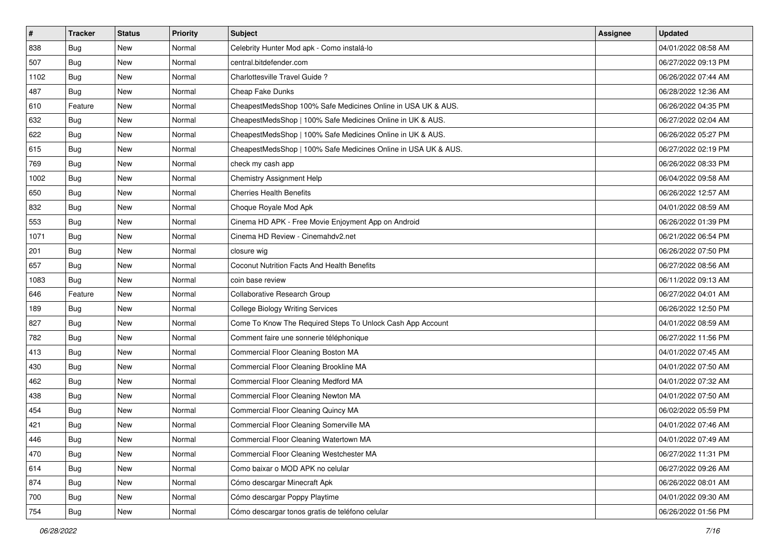| #    | <b>Tracker</b> | <b>Status</b> | <b>Priority</b> | Subject                                                        | <b>Assignee</b> | <b>Updated</b>      |
|------|----------------|---------------|-----------------|----------------------------------------------------------------|-----------------|---------------------|
| 838  | Bug            | New           | Normal          | Celebrity Hunter Mod apk - Como instalá-lo                     |                 | 04/01/2022 08:58 AM |
| 507  | Bug            | <b>New</b>    | Normal          | central.bitdefender.com                                        |                 | 06/27/2022 09:13 PM |
| 1102 | Bug            | New           | Normal          | Charlottesville Travel Guide?                                  |                 | 06/26/2022 07:44 AM |
| 487  | Bug            | New           | Normal          | Cheap Fake Dunks                                               |                 | 06/28/2022 12:36 AM |
| 610  | Feature        | <b>New</b>    | Normal          | CheapestMedsShop 100% Safe Medicines Online in USA UK & AUS.   |                 | 06/26/2022 04:35 PM |
| 632  | Bug            | New           | Normal          | CheapestMedsShop   100% Safe Medicines Online in UK & AUS.     |                 | 06/27/2022 02:04 AM |
| 622  | Bug            | New           | Normal          | CheapestMedsShop   100% Safe Medicines Online in UK & AUS.     |                 | 06/26/2022 05:27 PM |
| 615  | Bug            | New           | Normal          | CheapestMedsShop   100% Safe Medicines Online in USA UK & AUS. |                 | 06/27/2022 02:19 PM |
| 769  | <b>Bug</b>     | New           | Normal          | check my cash app                                              |                 | 06/26/2022 08:33 PM |
| 1002 | <b>Bug</b>     | <b>New</b>    | Normal          | <b>Chemistry Assignment Help</b>                               |                 | 06/04/2022 09:58 AM |
| 650  | <b>Bug</b>     | New           | Normal          | <b>Cherries Health Benefits</b>                                |                 | 06/26/2022 12:57 AM |
| 832  | <b>Bug</b>     | New           | Normal          | Choque Royale Mod Apk                                          |                 | 04/01/2022 08:59 AM |
| 553  | <b>Bug</b>     | New           | Normal          | Cinema HD APK - Free Movie Enjoyment App on Android            |                 | 06/26/2022 01:39 PM |
| 1071 | <b>Bug</b>     | New           | Normal          | Cinema HD Review - Cinemahdv2.net                              |                 | 06/21/2022 06:54 PM |
| 201  | <b>Bug</b>     | New           | Normal          | closure wig                                                    |                 | 06/26/2022 07:50 PM |
| 657  | <b>Bug</b>     | New           | Normal          | Coconut Nutrition Facts And Health Benefits                    |                 | 06/27/2022 08:56 AM |
| 1083 | Bug            | New           | Normal          | coin base review                                               |                 | 06/11/2022 09:13 AM |
| 646  | Feature        | <b>New</b>    | Normal          | Collaborative Research Group                                   |                 | 06/27/2022 04:01 AM |
| 189  | Bug            | New           | Normal          | <b>College Biology Writing Services</b>                        |                 | 06/26/2022 12:50 PM |
| 827  | <b>Bug</b>     | New           | Normal          | Come To Know The Required Steps To Unlock Cash App Account     |                 | 04/01/2022 08:59 AM |
| 782  | Bug            | New           | Normal          | Comment faire une sonnerie téléphonique                        |                 | 06/27/2022 11:56 PM |
| 413  | <b>Bug</b>     | New           | Normal          | Commercial Floor Cleaning Boston MA                            |                 | 04/01/2022 07:45 AM |
| 430  | <b>Bug</b>     | New           | Normal          | Commercial Floor Cleaning Brookline MA                         |                 | 04/01/2022 07:50 AM |
| 462  | <b>Bug</b>     | New           | Normal          | Commercial Floor Cleaning Medford MA                           |                 | 04/01/2022 07:32 AM |
| 438  | <b>Bug</b>     | New           | Normal          | Commercial Floor Cleaning Newton MA                            |                 | 04/01/2022 07:50 AM |
| 454  | Bug            | New           | Normal          | Commercial Floor Cleaning Quincy MA                            |                 | 06/02/2022 05:59 PM |
| 421  | Bug            | <b>New</b>    | Normal          | Commercial Floor Cleaning Somerville MA                        |                 | 04/01/2022 07:46 AM |
| 446  | <b>Bug</b>     | New           | Normal          | Commercial Floor Cleaning Watertown MA                         |                 | 04/01/2022 07:49 AM |
| 470  | Bug            | New           | Normal          | Commercial Floor Cleaning Westchester MA                       |                 | 06/27/2022 11:31 PM |
| 614  | Bug            | New           | Normal          | Como baixar o MOD APK no celular                               |                 | 06/27/2022 09:26 AM |
| 874  | Bug            | New           | Normal          | Cómo descargar Minecraft Apk                                   |                 | 06/26/2022 08:01 AM |
| 700  | Bug            | New           | Normal          | Cómo descargar Poppy Playtime                                  |                 | 04/01/2022 09:30 AM |
| 754  | <b>Bug</b>     | New           | Normal          | Cómo descargar tonos gratis de teléfono celular                |                 | 06/26/2022 01:56 PM |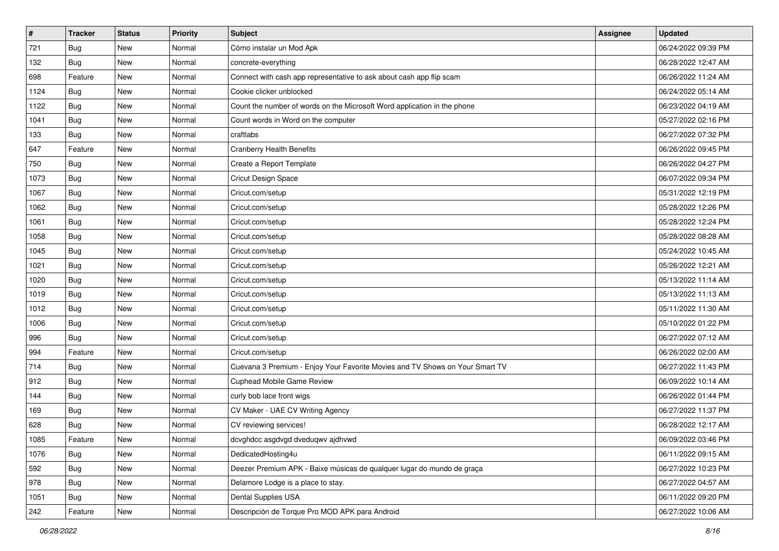| #    | <b>Tracker</b> | <b>Status</b> | Priority | <b>Subject</b>                                                               | <b>Assignee</b> | <b>Updated</b>      |
|------|----------------|---------------|----------|------------------------------------------------------------------------------|-----------------|---------------------|
| 721  | Bug            | New           | Normal   | Cómo instalar un Mod Apk                                                     |                 | 06/24/2022 09:39 PM |
| 132  | Bug            | New           | Normal   | concrete-everything                                                          |                 | 06/28/2022 12:47 AM |
| 698  | Feature        | New           | Normal   | Connect with cash app representative to ask about cash app flip scam         |                 | 06/26/2022 11:24 AM |
| 1124 | <b>Bug</b>     | New           | Normal   | Cookie clicker unblocked                                                     |                 | 06/24/2022 05:14 AM |
| 1122 | Bug            | New           | Normal   | Count the number of words on the Microsoft Word application in the phone     |                 | 06/23/2022 04:19 AM |
| 1041 | Bug            | New           | Normal   | Count words in Word on the computer                                          |                 | 05/27/2022 02:16 PM |
| 133  | <b>Bug</b>     | New           | Normal   | craftlabs                                                                    |                 | 06/27/2022 07:32 PM |
| 647  | Feature        | New           | Normal   | <b>Cranberry Health Benefits</b>                                             |                 | 06/26/2022 09:45 PM |
| 750  | Bug            | New           | Normal   | Create a Report Template                                                     |                 | 06/26/2022 04:27 PM |
| 1073 | Bug            | New           | Normal   | Cricut Design Space                                                          |                 | 06/07/2022 09:34 PM |
| 1067 | <b>Bug</b>     | New           | Normal   | Cricut.com/setup                                                             |                 | 05/31/2022 12:19 PM |
| 1062 | <b>Bug</b>     | New           | Normal   | Cricut.com/setup                                                             |                 | 05/28/2022 12:26 PM |
| 1061 | <b>Bug</b>     | New           | Normal   | Cricut.com/setup                                                             |                 | 05/28/2022 12:24 PM |
| 1058 | <b>Bug</b>     | New           | Normal   | Cricut.com/setup                                                             |                 | 05/28/2022 08:28 AM |
| 1045 | Bug            | New           | Normal   | Cricut.com/setup                                                             |                 | 05/24/2022 10:45 AM |
| 1021 | <b>Bug</b>     | New           | Normal   | Cricut.com/setup                                                             |                 | 05/26/2022 12:21 AM |
| 1020 | <b>Bug</b>     | New           | Normal   | Cricut.com/setup                                                             |                 | 05/13/2022 11:14 AM |
| 1019 | Bug            | New           | Normal   | Cricut.com/setup                                                             |                 | 05/13/2022 11:13 AM |
| 1012 | Bug            | New           | Normal   | Cricut.com/setup                                                             |                 | 05/11/2022 11:30 AM |
| 1006 | Bug            | New           | Normal   | Cricut.com/setup                                                             |                 | 05/10/2022 01:22 PM |
| 996  | <b>Bug</b>     | New           | Normal   | Cricut.com/setup                                                             |                 | 06/27/2022 07:12 AM |
| 994  | Feature        | New           | Normal   | Cricut.com/setup                                                             |                 | 06/26/2022 02:00 AM |
| 714  | Bug            | New           | Normal   | Cuevana 3 Premium - Enjoy Your Favorite Movies and TV Shows on Your Smart TV |                 | 06/27/2022 11:43 PM |
| 912  | <b>Bug</b>     | New           | Normal   | Cuphead Mobile Game Review                                                   |                 | 06/09/2022 10:14 AM |
| 144  | Bug            | New           | Normal   | curly bob lace front wigs                                                    |                 | 06/26/2022 01:44 PM |
| 169  | Bug            | New           | Normal   | CV Maker - UAE CV Writing Agency                                             |                 | 06/27/2022 11:37 PM |
| 628  | <b>Bug</b>     | New           | Normal   | CV reviewing services!                                                       |                 | 06/28/2022 12:17 AM |
| 1085 | Feature        | New           | Normal   | dcvghdcc asgdvgd dveduqwv ajdhvwd                                            |                 | 06/09/2022 03:46 PM |
| 1076 | Bug            | New           | Normal   | DedicatedHosting4u                                                           |                 | 06/11/2022 09:15 AM |
| 592  | <b>Bug</b>     | New           | Normal   | Deezer Premium APK - Baixe músicas de qualquer lugar do mundo de graça       |                 | 06/27/2022 10:23 PM |
| 978  | <b>Bug</b>     | New           | Normal   | Delamore Lodge is a place to stay.                                           |                 | 06/27/2022 04:57 AM |
| 1051 | <b>Bug</b>     | New           | Normal   | Dental Supplies USA                                                          |                 | 06/11/2022 09:20 PM |
| 242  | Feature        | New           | Normal   | Descripción de Torque Pro MOD APK para Android                               |                 | 06/27/2022 10:06 AM |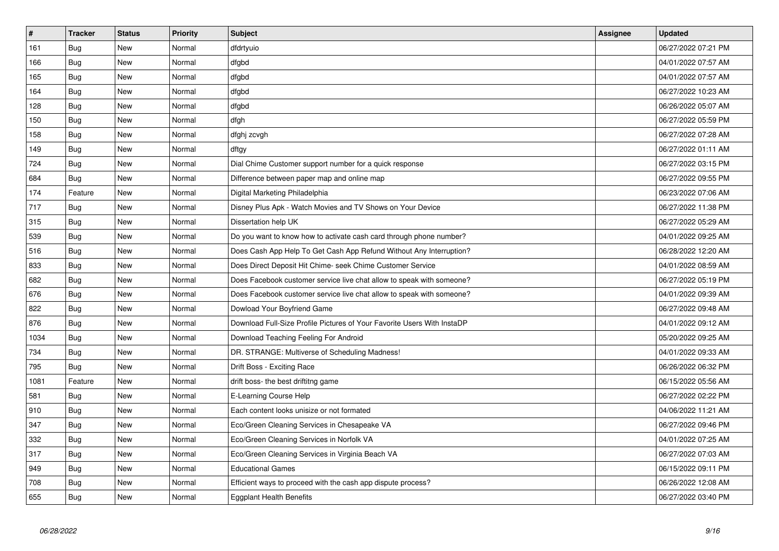| $\vert$ # | <b>Tracker</b> | <b>Status</b> | <b>Priority</b> | <b>Subject</b>                                                          | <b>Assignee</b> | <b>Updated</b>      |
|-----------|----------------|---------------|-----------------|-------------------------------------------------------------------------|-----------------|---------------------|
| 161       | <b>Bug</b>     | New           | Normal          | dfdrtyuio                                                               |                 | 06/27/2022 07:21 PM |
| 166       | Bug            | New           | Normal          | dfgbd                                                                   |                 | 04/01/2022 07:57 AM |
| 165       | <b>Bug</b>     | <b>New</b>    | Normal          | dfgbd                                                                   |                 | 04/01/2022 07:57 AM |
| 164       | <b>Bug</b>     | New           | Normal          | dfgbd                                                                   |                 | 06/27/2022 10:23 AM |
| 128       | Bug            | New           | Normal          | dfgbd                                                                   |                 | 06/26/2022 05:07 AM |
| 150       | Bug            | New           | Normal          | dfgh                                                                    |                 | 06/27/2022 05:59 PM |
| 158       | Bug            | New           | Normal          | dfghj zcvgh                                                             |                 | 06/27/2022 07:28 AM |
| 149       | Bug            | New           | Normal          | dftgy                                                                   |                 | 06/27/2022 01:11 AM |
| 724       | Bug            | New           | Normal          | Dial Chime Customer support number for a quick response                 |                 | 06/27/2022 03:15 PM |
| 684       | Bug            | <b>New</b>    | Normal          | Difference between paper map and online map                             |                 | 06/27/2022 09:55 PM |
| 174       | Feature        | New           | Normal          | Digital Marketing Philadelphia                                          |                 | 06/23/2022 07:06 AM |
| 717       | Bug            | New           | Normal          | Disney Plus Apk - Watch Movies and TV Shows on Your Device              |                 | 06/27/2022 11:38 PM |
| 315       | <b>Bug</b>     | New           | Normal          | Dissertation help UK                                                    |                 | 06/27/2022 05:29 AM |
| 539       | Bug            | <b>New</b>    | Normal          | Do you want to know how to activate cash card through phone number?     |                 | 04/01/2022 09:25 AM |
| 516       | <b>Bug</b>     | New           | Normal          | Does Cash App Help To Get Cash App Refund Without Any Interruption?     |                 | 06/28/2022 12:20 AM |
| 833       | Bug            | <b>New</b>    | Normal          | Does Direct Deposit Hit Chime- seek Chime Customer Service              |                 | 04/01/2022 08:59 AM |
| 682       | Bug            | New           | Normal          | Does Facebook customer service live chat allow to speak with someone?   |                 | 06/27/2022 05:19 PM |
| 676       | <b>Bug</b>     | <b>New</b>    | Normal          | Does Facebook customer service live chat allow to speak with someone?   |                 | 04/01/2022 09:39 AM |
| 822       | Bug            | New           | Normal          | Dowload Your Boyfriend Game                                             |                 | 06/27/2022 09:48 AM |
| 876       | <b>Bug</b>     | New           | Normal          | Download Full-Size Profile Pictures of Your Favorite Users With InstaDP |                 | 04/01/2022 09:12 AM |
| 1034      | Bug            | <b>New</b>    | Normal          | Download Teaching Feeling For Android                                   |                 | 05/20/2022 09:25 AM |
| 734       | <b>Bug</b>     | New           | Normal          | DR. STRANGE: Multiverse of Scheduling Madness!                          |                 | 04/01/2022 09:33 AM |
| 795       | Bug            | New           | Normal          | Drift Boss - Exciting Race                                              |                 | 06/26/2022 06:32 PM |
| 1081      | Feature        | New           | Normal          | drift boss- the best driftitng game                                     |                 | 06/15/2022 05:56 AM |
| 581       | <b>Bug</b>     | <b>New</b>    | Normal          | E-Learning Course Help                                                  |                 | 06/27/2022 02:22 PM |
| 910       | Bug            | New           | Normal          | Each content looks unisize or not formated                              |                 | 04/06/2022 11:21 AM |
| 347       | <b>Bug</b>     | New           | Normal          | Eco/Green Cleaning Services in Chesapeake VA                            |                 | 06/27/2022 09:46 PM |
| 332       | Bug            | New           | Normal          | Eco/Green Cleaning Services in Norfolk VA                               |                 | 04/01/2022 07:25 AM |
| 317       | <b>Bug</b>     | New           | Normal          | Eco/Green Cleaning Services in Virginia Beach VA                        |                 | 06/27/2022 07:03 AM |
| 949       | <b>Bug</b>     | New           | Normal          | <b>Educational Games</b>                                                |                 | 06/15/2022 09:11 PM |
| 708       | Bug            | New           | Normal          | Efficient ways to proceed with the cash app dispute process?            |                 | 06/26/2022 12:08 AM |
| 655       | <b>Bug</b>     | New           | Normal          | <b>Eggplant Health Benefits</b>                                         |                 | 06/27/2022 03:40 PM |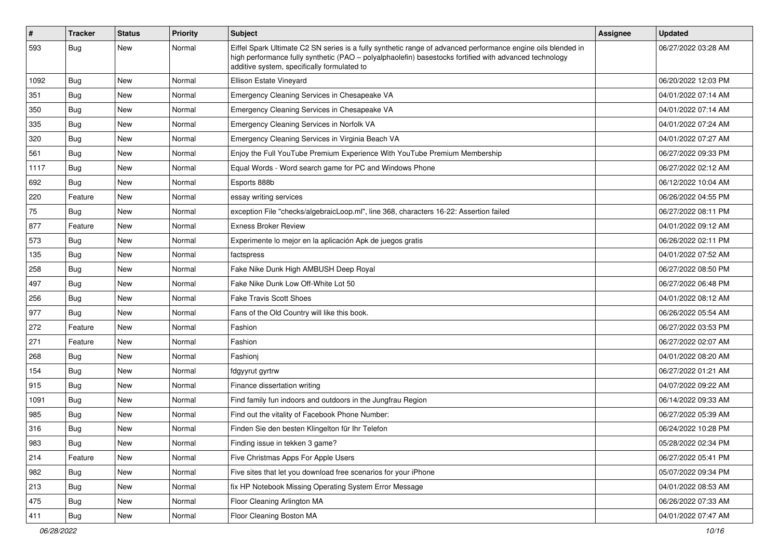| $\#$ | <b>Tracker</b> | <b>Status</b> | <b>Priority</b> | Subject                                                                                                                                                                                                                                                               | <b>Assignee</b> | <b>Updated</b>      |
|------|----------------|---------------|-----------------|-----------------------------------------------------------------------------------------------------------------------------------------------------------------------------------------------------------------------------------------------------------------------|-----------------|---------------------|
| 593  | Bug            | New           | Normal          | Eiffel Spark Ultimate C2 SN series is a fully synthetic range of advanced performance engine oils blended in<br>high performance fully synthetic (PAO - polyalphaolefin) basestocks fortified with advanced technology<br>additive system, specifically formulated to |                 | 06/27/2022 03:28 AM |
| 1092 | <b>Bug</b>     | <b>New</b>    | Normal          | Ellison Estate Vineyard                                                                                                                                                                                                                                               |                 | 06/20/2022 12:03 PM |
| 351  | <b>Bug</b>     | <b>New</b>    | Normal          | Emergency Cleaning Services in Chesapeake VA                                                                                                                                                                                                                          |                 | 04/01/2022 07:14 AM |
| 350  | Bug            | New           | Normal          | Emergency Cleaning Services in Chesapeake VA                                                                                                                                                                                                                          |                 | 04/01/2022 07:14 AM |
| 335  | <b>Bug</b>     | <b>New</b>    | Normal          | Emergency Cleaning Services in Norfolk VA                                                                                                                                                                                                                             |                 | 04/01/2022 07:24 AM |
| 320  | <b>Bug</b>     | <b>New</b>    | Normal          | Emergency Cleaning Services in Virginia Beach VA                                                                                                                                                                                                                      |                 | 04/01/2022 07:27 AM |
| 561  | <b>Bug</b>     | New           | Normal          | Enjoy the Full YouTube Premium Experience With YouTube Premium Membership                                                                                                                                                                                             |                 | 06/27/2022 09:33 PM |
| 1117 | Bug            | <b>New</b>    | Normal          | Equal Words - Word search game for PC and Windows Phone                                                                                                                                                                                                               |                 | 06/27/2022 02:12 AM |
| 692  | <b>Bug</b>     | New           | Normal          | Esports 888b                                                                                                                                                                                                                                                          |                 | 06/12/2022 10:04 AM |
| 220  | Feature        | New           | Normal          | essay writing services                                                                                                                                                                                                                                                |                 | 06/26/2022 04:55 PM |
| 75   | <b>Bug</b>     | <b>New</b>    | Normal          | exception File "checks/algebraicLoop.ml", line 368, characters 16-22: Assertion failed                                                                                                                                                                                |                 | 06/27/2022 08:11 PM |
| 877  | Feature        | New           | Normal          | <b>Exness Broker Review</b>                                                                                                                                                                                                                                           |                 | 04/01/2022 09:12 AM |
| 573  | <b>Bug</b>     | New           | Normal          | Experimente lo mejor en la aplicación Apk de juegos gratis                                                                                                                                                                                                            |                 | 06/26/2022 02:11 PM |
| 135  | <b>Bug</b>     | New           | Normal          | factspress                                                                                                                                                                                                                                                            |                 | 04/01/2022 07:52 AM |
| 258  | <b>Bug</b>     | <b>New</b>    | Normal          | Fake Nike Dunk High AMBUSH Deep Royal                                                                                                                                                                                                                                 |                 | 06/27/2022 08:50 PM |
| 497  | <b>Bug</b>     | <b>New</b>    | Normal          | Fake Nike Dunk Low Off-White Lot 50                                                                                                                                                                                                                                   |                 | 06/27/2022 06:48 PM |
| 256  | <b>Bug</b>     | New           | Normal          | <b>Fake Travis Scott Shoes</b>                                                                                                                                                                                                                                        |                 | 04/01/2022 08:12 AM |
| 977  | Bug            | New           | Normal          | Fans of the Old Country will like this book.                                                                                                                                                                                                                          |                 | 06/26/2022 05:54 AM |
| 272  | Feature        | <b>New</b>    | Normal          | Fashion                                                                                                                                                                                                                                                               |                 | 06/27/2022 03:53 PM |
| 271  | Feature        | <b>New</b>    | Normal          | Fashion                                                                                                                                                                                                                                                               |                 | 06/27/2022 02:07 AM |
| 268  | <b>Bug</b>     | <b>New</b>    | Normal          | Fashioni                                                                                                                                                                                                                                                              |                 | 04/01/2022 08:20 AM |
| 154  | Bug            | New           | Normal          | fdgyyrut gyrtrw                                                                                                                                                                                                                                                       |                 | 06/27/2022 01:21 AM |
| 915  | Bug            | New           | Normal          | Finance dissertation writing                                                                                                                                                                                                                                          |                 | 04/07/2022 09:22 AM |
| 1091 | <b>Bug</b>     | <b>New</b>    | Normal          | Find family fun indoors and outdoors in the Jungfrau Region                                                                                                                                                                                                           |                 | 06/14/2022 09:33 AM |
| 985  | Bug            | <b>New</b>    | Normal          | Find out the vitality of Facebook Phone Number:                                                                                                                                                                                                                       |                 | 06/27/2022 05:39 AM |
| 316  | <b>Bug</b>     | <b>New</b>    | Normal          | Finden Sie den besten Klingelton für Ihr Telefon                                                                                                                                                                                                                      |                 | 06/24/2022 10:28 PM |
| 983  | Bug            | New           | Normal          | Finding issue in tekken 3 game?                                                                                                                                                                                                                                       |                 | 05/28/2022 02:34 PM |
| 214  | Feature        | New           | Normal          | Five Christmas Apps For Apple Users                                                                                                                                                                                                                                   |                 | 06/27/2022 05:41 PM |
| 982  | Bug            | New           | Normal          | Five sites that let you download free scenarios for your iPhone                                                                                                                                                                                                       |                 | 05/07/2022 09:34 PM |
| 213  | Bug            | New           | Normal          | fix HP Notebook Missing Operating System Error Message                                                                                                                                                                                                                |                 | 04/01/2022 08:53 AM |
| 475  | <b>Bug</b>     | New           | Normal          | Floor Cleaning Arlington MA                                                                                                                                                                                                                                           |                 | 06/26/2022 07:33 AM |
| 411  | <b>Bug</b>     | New           | Normal          | Floor Cleaning Boston MA                                                                                                                                                                                                                                              |                 | 04/01/2022 07:47 AM |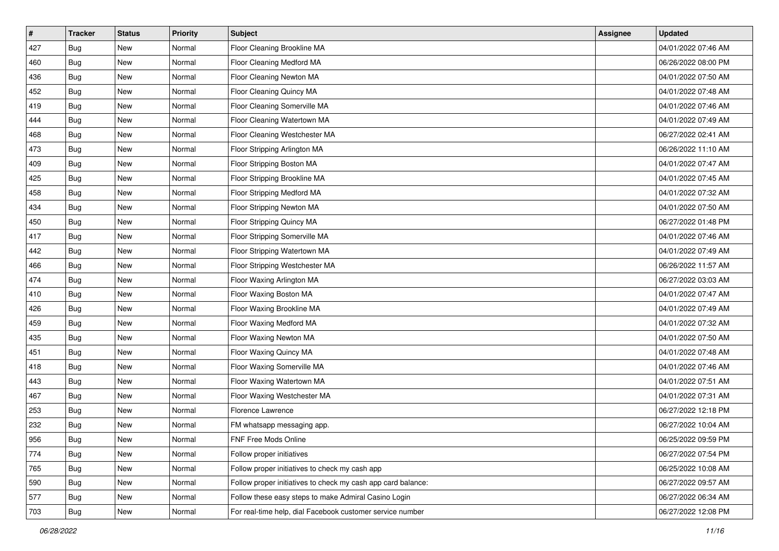| $\vert$ # | <b>Tracker</b> | <b>Status</b> | Priority | Subject                                                      | <b>Assignee</b> | <b>Updated</b>      |
|-----------|----------------|---------------|----------|--------------------------------------------------------------|-----------------|---------------------|
| 427       | <b>Bug</b>     | New           | Normal   | Floor Cleaning Brookline MA                                  |                 | 04/01/2022 07:46 AM |
| 460       | <b>Bug</b>     | <b>New</b>    | Normal   | Floor Cleaning Medford MA                                    |                 | 06/26/2022 08:00 PM |
| 436       | Bug            | New           | Normal   | Floor Cleaning Newton MA                                     |                 | 04/01/2022 07:50 AM |
| 452       | <b>Bug</b>     | New           | Normal   | Floor Cleaning Quincy MA                                     |                 | 04/01/2022 07:48 AM |
| 419       | <b>Bug</b>     | <b>New</b>    | Normal   | Floor Cleaning Somerville MA                                 |                 | 04/01/2022 07:46 AM |
| 444       | Bug            | New           | Normal   | Floor Cleaning Watertown MA                                  |                 | 04/01/2022 07:49 AM |
| 468       | <b>Bug</b>     | New           | Normal   | Floor Cleaning Westchester MA                                |                 | 06/27/2022 02:41 AM |
| 473       | <b>Bug</b>     | New           | Normal   | Floor Stripping Arlington MA                                 |                 | 06/26/2022 11:10 AM |
| 409       | Bug            | New           | Normal   | Floor Stripping Boston MA                                    |                 | 04/01/2022 07:47 AM |
| 425       | Bug            | New           | Normal   | Floor Stripping Brookline MA                                 |                 | 04/01/2022 07:45 AM |
| 458       | Bug            | New           | Normal   | Floor Stripping Medford MA                                   |                 | 04/01/2022 07:32 AM |
| 434       | Bug            | New           | Normal   | Floor Stripping Newton MA                                    |                 | 04/01/2022 07:50 AM |
| 450       | <b>Bug</b>     | New           | Normal   | Floor Stripping Quincy MA                                    |                 | 06/27/2022 01:48 PM |
| 417       | <b>Bug</b>     | New           | Normal   | Floor Stripping Somerville MA                                |                 | 04/01/2022 07:46 AM |
| 442       | <b>Bug</b>     | New           | Normal   | Floor Stripping Watertown MA                                 |                 | 04/01/2022 07:49 AM |
| 466       | Bug            | New           | Normal   | Floor Stripping Westchester MA                               |                 | 06/26/2022 11:57 AM |
| 474       | <b>Bug</b>     | New           | Normal   | Floor Waxing Arlington MA                                    |                 | 06/27/2022 03:03 AM |
| 410       | <b>Bug</b>     | <b>New</b>    | Normal   | Floor Waxing Boston MA                                       |                 | 04/01/2022 07:47 AM |
| 426       | Bug            | New           | Normal   | Floor Waxing Brookline MA                                    |                 | 04/01/2022 07:49 AM |
| 459       | <b>Bug</b>     | New           | Normal   | Floor Waxing Medford MA                                      |                 | 04/01/2022 07:32 AM |
| 435       | <b>Bug</b>     | New           | Normal   | Floor Waxing Newton MA                                       |                 | 04/01/2022 07:50 AM |
| 451       | Bug            | New           | Normal   | Floor Waxing Quincy MA                                       |                 | 04/01/2022 07:48 AM |
| 418       | Bug            | New           | Normal   | Floor Waxing Somerville MA                                   |                 | 04/01/2022 07:46 AM |
| 443       | <b>Bug</b>     | New           | Normal   | Floor Waxing Watertown MA                                    |                 | 04/01/2022 07:51 AM |
| 467       | <b>Bug</b>     | New           | Normal   | Floor Waxing Westchester MA                                  |                 | 04/01/2022 07:31 AM |
| 253       | Bug            | New           | Normal   | Florence Lawrence                                            |                 | 06/27/2022 12:18 PM |
| 232       | <b>Bug</b>     | New           | Normal   | FM whatsapp messaging app.                                   |                 | 06/27/2022 10:04 AM |
| 956       | <b>Bug</b>     | New           | Normal   | FNF Free Mods Online                                         |                 | 06/25/2022 09:59 PM |
| 774       | Bug            | New           | Normal   | Follow proper initiatives                                    |                 | 06/27/2022 07:54 PM |
| 765       | <b>Bug</b>     | New           | Normal   | Follow proper initiatives to check my cash app               |                 | 06/25/2022 10:08 AM |
| 590       | <b>Bug</b>     | New           | Normal   | Follow proper initiatives to check my cash app card balance: |                 | 06/27/2022 09:57 AM |
| 577       | <b>Bug</b>     | New           | Normal   | Follow these easy steps to make Admiral Casino Login         |                 | 06/27/2022 06:34 AM |
| 703       | <b>Bug</b>     | New           | Normal   | For real-time help, dial Facebook customer service number    |                 | 06/27/2022 12:08 PM |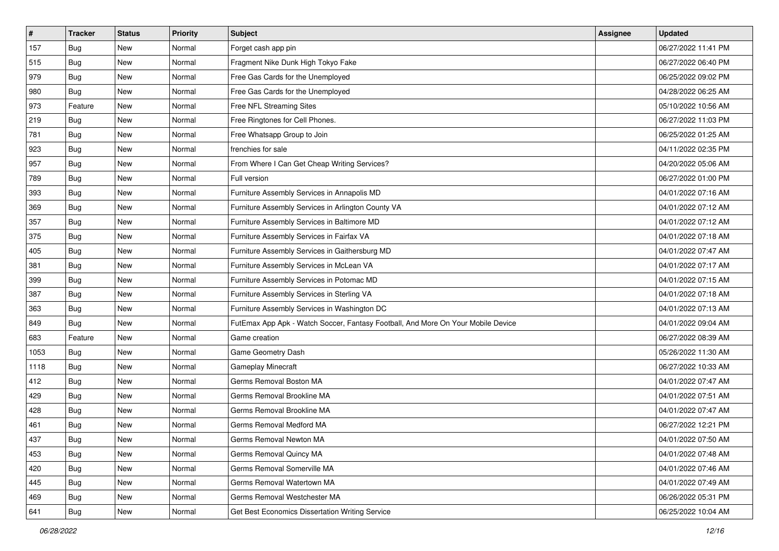| $\sharp$ | <b>Tracker</b> | <b>Status</b> | Priority | <b>Subject</b>                                                                   | <b>Assignee</b> | <b>Updated</b>      |
|----------|----------------|---------------|----------|----------------------------------------------------------------------------------|-----------------|---------------------|
| 157      | <b>Bug</b>     | New           | Normal   | Forget cash app pin                                                              |                 | 06/27/2022 11:41 PM |
| 515      | <b>Bug</b>     | New           | Normal   | Fragment Nike Dunk High Tokyo Fake                                               |                 | 06/27/2022 06:40 PM |
| 979      | <b>Bug</b>     | New           | Normal   | Free Gas Cards for the Unemployed                                                |                 | 06/25/2022 09:02 PM |
| 980      | Bug            | <b>New</b>    | Normal   | Free Gas Cards for the Unemployed                                                |                 | 04/28/2022 06:25 AM |
| 973      | Feature        | <b>New</b>    | Normal   | Free NFL Streaming Sites                                                         |                 | 05/10/2022 10:56 AM |
| 219      | <b>Bug</b>     | New           | Normal   | Free Ringtones for Cell Phones.                                                  |                 | 06/27/2022 11:03 PM |
| 781      | <b>Bug</b>     | <b>New</b>    | Normal   | Free Whatsapp Group to Join                                                      |                 | 06/25/2022 01:25 AM |
| 923      | Bug            | New           | Normal   | frenchies for sale                                                               |                 | 04/11/2022 02:35 PM |
| 957      | <b>Bug</b>     | <b>New</b>    | Normal   | From Where I Can Get Cheap Writing Services?                                     |                 | 04/20/2022 05:06 AM |
| 789      | <b>Bug</b>     | <b>New</b>    | Normal   | Full version                                                                     |                 | 06/27/2022 01:00 PM |
| 393      | <b>Bug</b>     | <b>New</b>    | Normal   | Furniture Assembly Services in Annapolis MD                                      |                 | 04/01/2022 07:16 AM |
| 369      | <b>Bug</b>     | <b>New</b>    | Normal   | Furniture Assembly Services in Arlington County VA                               |                 | 04/01/2022 07:12 AM |
| 357      | <b>Bug</b>     | <b>New</b>    | Normal   | Furniture Assembly Services in Baltimore MD                                      |                 | 04/01/2022 07:12 AM |
| 375      | <b>Bug</b>     | <b>New</b>    | Normal   | Furniture Assembly Services in Fairfax VA                                        |                 | 04/01/2022 07:18 AM |
| 405      | <b>Bug</b>     | <b>New</b>    | Normal   | Furniture Assembly Services in Gaithersburg MD                                   |                 | 04/01/2022 07:47 AM |
| 381      | Bug            | New           | Normal   | Furniture Assembly Services in McLean VA                                         |                 | 04/01/2022 07:17 AM |
| 399      | <b>Bug</b>     | <b>New</b>    | Normal   | Furniture Assembly Services in Potomac MD                                        |                 | 04/01/2022 07:15 AM |
| 387      | <b>Bug</b>     | <b>New</b>    | Normal   | Furniture Assembly Services in Sterling VA                                       |                 | 04/01/2022 07:18 AM |
| 363      | Bug            | <b>New</b>    | Normal   | Furniture Assembly Services in Washington DC                                     |                 | 04/01/2022 07:13 AM |
| 849      | <b>Bug</b>     | New           | Normal   | FutEmax App Apk - Watch Soccer, Fantasy Football, And More On Your Mobile Device |                 | 04/01/2022 09:04 AM |
| 683      | Feature        | New           | Normal   | Game creation                                                                    |                 | 06/27/2022 08:39 AM |
| 1053     | <b>Bug</b>     | <b>New</b>    | Normal   | Game Geometry Dash                                                               |                 | 05/26/2022 11:30 AM |
| 1118     | Bug            | <b>New</b>    | Normal   | Gameplay Minecraft                                                               |                 | 06/27/2022 10:33 AM |
| 412      | <b>Bug</b>     | New           | Normal   | Germs Removal Boston MA                                                          |                 | 04/01/2022 07:47 AM |
| 429      | <b>Bug</b>     | <b>New</b>    | Normal   | Germs Removal Brookline MA                                                       |                 | 04/01/2022 07:51 AM |
| 428      | Bug            | New           | Normal   | Germs Removal Brookline MA                                                       |                 | 04/01/2022 07:47 AM |
| 461      | <b>Bug</b>     | <b>New</b>    | Normal   | Germs Removal Medford MA                                                         |                 | 06/27/2022 12:21 PM |
| 437      | <b>Bug</b>     | New           | Normal   | Germs Removal Newton MA                                                          |                 | 04/01/2022 07:50 AM |
| 453      | Bug            | New           | Normal   | Germs Removal Quincy MA                                                          |                 | 04/01/2022 07:48 AM |
| 420      | Bug            | New           | Normal   | Germs Removal Somerville MA                                                      |                 | 04/01/2022 07:46 AM |
| 445      | Bug            | New           | Normal   | Germs Removal Watertown MA                                                       |                 | 04/01/2022 07:49 AM |
| 469      | Bug            | New           | Normal   | Germs Removal Westchester MA                                                     |                 | 06/26/2022 05:31 PM |
| 641      | <b>Bug</b>     | New           | Normal   | Get Best Economics Dissertation Writing Service                                  |                 | 06/25/2022 10:04 AM |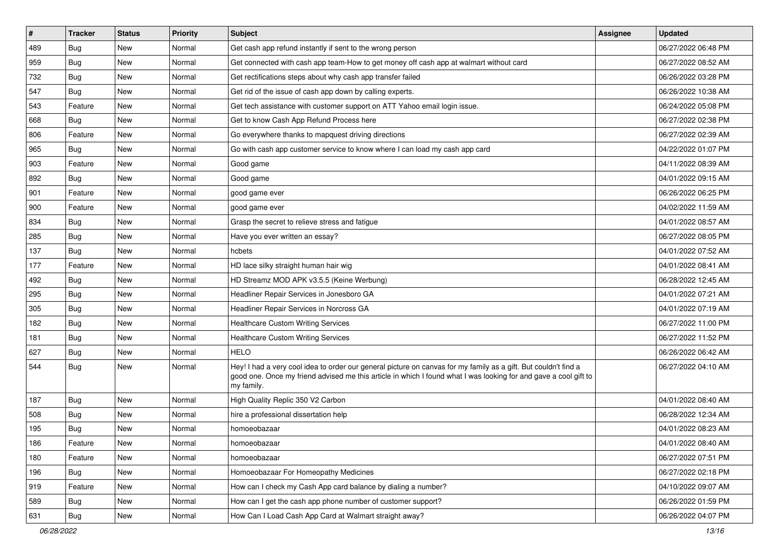| $\vert$ # | <b>Tracker</b> | <b>Status</b> | <b>Priority</b> | Subject                                                                                                                                                                                                                                           | <b>Assignee</b> | <b>Updated</b>      |
|-----------|----------------|---------------|-----------------|---------------------------------------------------------------------------------------------------------------------------------------------------------------------------------------------------------------------------------------------------|-----------------|---------------------|
| 489       | Bug            | New           | Normal          | Get cash app refund instantly if sent to the wrong person                                                                                                                                                                                         |                 | 06/27/2022 06:48 PM |
| 959       | <b>Bug</b>     | New           | Normal          | Get connected with cash app team-How to get money off cash app at walmart without card                                                                                                                                                            |                 | 06/27/2022 08:52 AM |
| 732       | <b>Bug</b>     | New           | Normal          | Get rectifications steps about why cash app transfer failed                                                                                                                                                                                       |                 | 06/26/2022 03:28 PM |
| 547       | Bug            | New           | Normal          | Get rid of the issue of cash app down by calling experts.                                                                                                                                                                                         |                 | 06/26/2022 10:38 AM |
| 543       | Feature        | <b>New</b>    | Normal          | Get tech assistance with customer support on ATT Yahoo email login issue.                                                                                                                                                                         |                 | 06/24/2022 05:08 PM |
| 668       | Bug            | New           | Normal          | Get to know Cash App Refund Process here                                                                                                                                                                                                          |                 | 06/27/2022 02:38 PM |
| 806       | Feature        | New           | Normal          | Go everywhere thanks to mapquest driving directions                                                                                                                                                                                               |                 | 06/27/2022 02:39 AM |
| 965       | <b>Bug</b>     | New           | Normal          | Go with cash app customer service to know where I can load my cash app card                                                                                                                                                                       |                 | 04/22/2022 01:07 PM |
| 903       | Feature        | New           | Normal          | Good game                                                                                                                                                                                                                                         |                 | 04/11/2022 08:39 AM |
| 892       | <b>Bug</b>     | <b>New</b>    | Normal          | Good game                                                                                                                                                                                                                                         |                 | 04/01/2022 09:15 AM |
| 901       | Feature        | New           | Normal          | good game ever                                                                                                                                                                                                                                    |                 | 06/26/2022 06:25 PM |
| 900       | Feature        | New           | Normal          | good game ever                                                                                                                                                                                                                                    |                 | 04/02/2022 11:59 AM |
| 834       | <b>Bug</b>     | <b>New</b>    | Normal          | Grasp the secret to relieve stress and fatigue                                                                                                                                                                                                    |                 | 04/01/2022 08:57 AM |
| 285       | <b>Bug</b>     | <b>New</b>    | Normal          | Have you ever written an essay?                                                                                                                                                                                                                   |                 | 06/27/2022 08:05 PM |
| 137       | <b>Bug</b>     | <b>New</b>    | Normal          | hcbets                                                                                                                                                                                                                                            |                 | 04/01/2022 07:52 AM |
| 177       | Feature        | New           | Normal          | HD lace silky straight human hair wig                                                                                                                                                                                                             |                 | 04/01/2022 08:41 AM |
| 492       | Bug            | New           | Normal          | HD Streamz MOD APK v3.5.5 (Keine Werbung)                                                                                                                                                                                                         |                 | 06/28/2022 12:45 AM |
| 295       | <b>Bug</b>     | New           | Normal          | Headliner Repair Services in Jonesboro GA                                                                                                                                                                                                         |                 | 04/01/2022 07:21 AM |
| 305       | Bug            | New           | Normal          | Headliner Repair Services in Norcross GA                                                                                                                                                                                                          |                 | 04/01/2022 07:19 AM |
| 182       | Bug            | <b>New</b>    | Normal          | <b>Healthcare Custom Writing Services</b>                                                                                                                                                                                                         |                 | 06/27/2022 11:00 PM |
| 181       | Bug            | New           | Normal          | <b>Healthcare Custom Writing Services</b>                                                                                                                                                                                                         |                 | 06/27/2022 11:52 PM |
| 627       | Bug            | New           | Normal          | <b>HELO</b>                                                                                                                                                                                                                                       |                 | 06/26/2022 06:42 AM |
| 544       | <b>Bug</b>     | <b>New</b>    | Normal          | Hey! I had a very cool idea to order our general picture on canvas for my family as a gift. But couldn't find a<br>good one. Once my friend advised me this article in which I found what I was looking for and gave a cool gift to<br>my family. |                 | 06/27/2022 04:10 AM |
| 187       | <b>Bug</b>     | <b>New</b>    | Normal          | High Quality Replic 350 V2 Carbon                                                                                                                                                                                                                 |                 | 04/01/2022 08:40 AM |
| 508       | Bug            | New           | Normal          | hire a professional dissertation help                                                                                                                                                                                                             |                 | 06/28/2022 12:34 AM |
| 195       | Bug            | New           | Normal          | homoeobazaar                                                                                                                                                                                                                                      |                 | 04/01/2022 08:23 AM |
| 186       | Feature        | New           | Normal          | homoeobazaar                                                                                                                                                                                                                                      |                 | 04/01/2022 08:40 AM |
| 180       | Feature        | New           | Normal          | homoeobazaar                                                                                                                                                                                                                                      |                 | 06/27/2022 07:51 PM |
| 196       | <b>Bug</b>     | New           | Normal          | Homoeobazaar For Homeopathy Medicines                                                                                                                                                                                                             |                 | 06/27/2022 02:18 PM |
| 919       | Feature        | New           | Normal          | How can I check my Cash App card balance by dialing a number?                                                                                                                                                                                     |                 | 04/10/2022 09:07 AM |
| 589       | <b>Bug</b>     | New           | Normal          | How can I get the cash app phone number of customer support?                                                                                                                                                                                      |                 | 06/26/2022 01:59 PM |
| 631       | <b>Bug</b>     | New           | Normal          | How Can I Load Cash App Card at Walmart straight away?                                                                                                                                                                                            |                 | 06/26/2022 04:07 PM |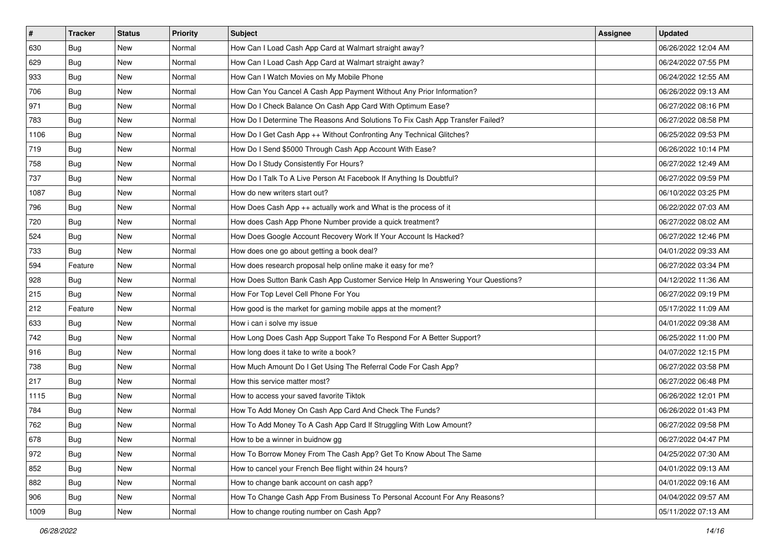| $\vert$ # | <b>Tracker</b> | <b>Status</b> | <b>Priority</b> | <b>Subject</b>                                                                   | <b>Assignee</b> | Updated             |
|-----------|----------------|---------------|-----------------|----------------------------------------------------------------------------------|-----------------|---------------------|
| 630       | Bug            | New           | Normal          | How Can I Load Cash App Card at Walmart straight away?                           |                 | 06/26/2022 12:04 AM |
| 629       | Bug            | New           | Normal          | How Can I Load Cash App Card at Walmart straight away?                           |                 | 06/24/2022 07:55 PM |
| 933       | Bug            | New           | Normal          | How Can I Watch Movies on My Mobile Phone                                        |                 | 06/24/2022 12:55 AM |
| 706       | Bug            | New           | Normal          | How Can You Cancel A Cash App Payment Without Any Prior Information?             |                 | 06/26/2022 09:13 AM |
| 971       | Bug            | New           | Normal          | How Do I Check Balance On Cash App Card With Optimum Ease?                       |                 | 06/27/2022 08:16 PM |
| 783       | Bug            | New           | Normal          | How Do I Determine The Reasons And Solutions To Fix Cash App Transfer Failed?    |                 | 06/27/2022 08:58 PM |
| 1106      | Bug            | New           | Normal          | How Do I Get Cash App ++ Without Confronting Any Technical Glitches?             |                 | 06/25/2022 09:53 PM |
| 719       | Bug            | New           | Normal          | How Do I Send \$5000 Through Cash App Account With Ease?                         |                 | 06/26/2022 10:14 PM |
| 758       | Bug            | New           | Normal          | How Do I Study Consistently For Hours?                                           |                 | 06/27/2022 12:49 AM |
| 737       | Bug            | New           | Normal          | How Do I Talk To A Live Person At Facebook If Anything Is Doubtful?              |                 | 06/27/2022 09:59 PM |
| 1087      | Bug            | New           | Normal          | How do new writers start out?                                                    |                 | 06/10/2022 03:25 PM |
| 796       | Bug            | New           | Normal          | How Does Cash App ++ actually work and What is the process of it                 |                 | 06/22/2022 07:03 AM |
| 720       | Bug            | New           | Normal          | How does Cash App Phone Number provide a quick treatment?                        |                 | 06/27/2022 08:02 AM |
| 524       | Bug            | New           | Normal          | How Does Google Account Recovery Work If Your Account Is Hacked?                 |                 | 06/27/2022 12:46 PM |
| 733       | Bug            | New           | Normal          | How does one go about getting a book deal?                                       |                 | 04/01/2022 09:33 AM |
| 594       | Feature        | New           | Normal          | How does research proposal help online make it easy for me?                      |                 | 06/27/2022 03:34 PM |
| 928       | Bug            | New           | Normal          | How Does Sutton Bank Cash App Customer Service Help In Answering Your Questions? |                 | 04/12/2022 11:36 AM |
| 215       | <b>Bug</b>     | New           | Normal          | How For Top Level Cell Phone For You                                             |                 | 06/27/2022 09:19 PM |
| 212       | Feature        | New           | Normal          | How good is the market for gaming mobile apps at the moment?                     |                 | 05/17/2022 11:09 AM |
| 633       | Bug            | New           | Normal          | How i can i solve my issue                                                       |                 | 04/01/2022 09:38 AM |
| 742       | Bug            | New           | Normal          | How Long Does Cash App Support Take To Respond For A Better Support?             |                 | 06/25/2022 11:00 PM |
| 916       | Bug            | New           | Normal          | How long does it take to write a book?                                           |                 | 04/07/2022 12:15 PM |
| 738       | <b>Bug</b>     | <b>New</b>    | Normal          | How Much Amount Do I Get Using The Referral Code For Cash App?                   |                 | 06/27/2022 03:58 PM |
| 217       | Bug            | New           | Normal          | How this service matter most?                                                    |                 | 06/27/2022 06:48 PM |
| 1115      | Bug            | New           | Normal          | How to access your saved favorite Tiktok                                         |                 | 06/26/2022 12:01 PM |
| 784       | Bug            | New           | Normal          | How To Add Money On Cash App Card And Check The Funds?                           |                 | 06/26/2022 01:43 PM |
| 762       | Bug            | New           | Normal          | How To Add Money To A Cash App Card If Struggling With Low Amount?               |                 | 06/27/2022 09:58 PM |
| 678       | <b>Bug</b>     | New           | Normal          | How to be a winner in buidnow gg                                                 |                 | 06/27/2022 04:47 PM |
| 972       | Bug            | New           | Normal          | How To Borrow Money From The Cash App? Get To Know About The Same                |                 | 04/25/2022 07:30 AM |
| 852       | Bug            | New           | Normal          | How to cancel your French Bee flight within 24 hours?                            |                 | 04/01/2022 09:13 AM |
| 882       | <b>Bug</b>     | New           | Normal          | How to change bank account on cash app?                                          |                 | 04/01/2022 09:16 AM |
| 906       | Bug            | New           | Normal          | How To Change Cash App From Business To Personal Account For Any Reasons?        |                 | 04/04/2022 09:57 AM |
| 1009      | <b>Bug</b>     | New           | Normal          | How to change routing number on Cash App?                                        |                 | 05/11/2022 07:13 AM |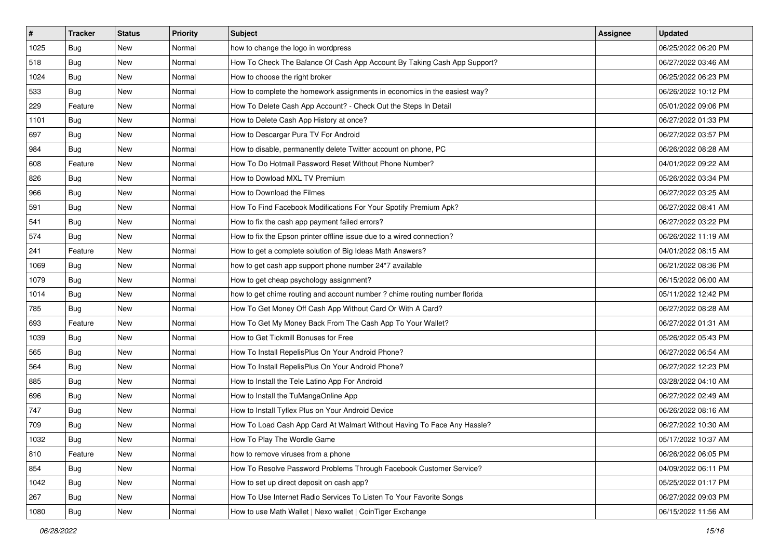| $\sharp$ | <b>Tracker</b> | <b>Status</b> | <b>Priority</b> | Subject                                                                    | <b>Assignee</b> | <b>Updated</b>      |
|----------|----------------|---------------|-----------------|----------------------------------------------------------------------------|-----------------|---------------------|
| 1025     | Bug            | New           | Normal          | how to change the logo in wordpress                                        |                 | 06/25/2022 06:20 PM |
| 518      | <b>Bug</b>     | New           | Normal          | How To Check The Balance Of Cash App Account By Taking Cash App Support?   |                 | 06/27/2022 03:46 AM |
| 1024     | <b>Bug</b>     | New           | Normal          | How to choose the right broker                                             |                 | 06/25/2022 06:23 PM |
| 533      | Bug            | New           | Normal          | How to complete the homework assignments in economics in the easiest way?  |                 | 06/26/2022 10:12 PM |
| 229      | Feature        | <b>New</b>    | Normal          | How To Delete Cash App Account? - Check Out the Steps In Detail            |                 | 05/01/2022 09:06 PM |
| 1101     | Bug            | New           | Normal          | How to Delete Cash App History at once?                                    |                 | 06/27/2022 01:33 PM |
| 697      | Bug            | New           | Normal          | How to Descargar Pura TV For Android                                       |                 | 06/27/2022 03:57 PM |
| 984      | Bug            | New           | Normal          | How to disable, permanently delete Twitter account on phone, PC            |                 | 06/26/2022 08:28 AM |
| 608      | Feature        | New           | Normal          | How To Do Hotmail Password Reset Without Phone Number?                     |                 | 04/01/2022 09:22 AM |
| 826      | Bug            | New           | Normal          | How to Dowload MXL TV Premium                                              |                 | 05/26/2022 03:34 PM |
| 966      | <b>Bug</b>     | New           | Normal          | How to Download the Filmes                                                 |                 | 06/27/2022 03:25 AM |
| 591      | Bug            | New           | Normal          | How To Find Facebook Modifications For Your Spotify Premium Apk?           |                 | 06/27/2022 08:41 AM |
| 541      | Bug            | New           | Normal          | How to fix the cash app payment failed errors?                             |                 | 06/27/2022 03:22 PM |
| 574      | Bug            | New           | Normal          | How to fix the Epson printer offline issue due to a wired connection?      |                 | 06/26/2022 11:19 AM |
| 241      | Feature        | <b>New</b>    | Normal          | How to get a complete solution of Big Ideas Math Answers?                  |                 | 04/01/2022 08:15 AM |
| 1069     | Bug            | New           | Normal          | how to get cash app support phone number 24*7 available                    |                 | 06/21/2022 08:36 PM |
| 1079     | Bug            | New           | Normal          | How to get cheap psychology assignment?                                    |                 | 06/15/2022 06:00 AM |
| 1014     | Bug            | New           | Normal          | how to get chime routing and account number ? chime routing number florida |                 | 05/11/2022 12:42 PM |
| 785      | Bug            | New           | Normal          | How To Get Money Off Cash App Without Card Or With A Card?                 |                 | 06/27/2022 08:28 AM |
| 693      | Feature        | <b>New</b>    | Normal          | How To Get My Money Back From The Cash App To Your Wallet?                 |                 | 06/27/2022 01:31 AM |
| 1039     | Bug            | New           | Normal          | How to Get Tickmill Bonuses for Free                                       |                 | 05/26/2022 05:43 PM |
| 565      | Bug            | New           | Normal          | How To Install RepelisPlus On Your Android Phone?                          |                 | 06/27/2022 06:54 AM |
| 564      | Bug            | <b>New</b>    | Normal          | How To Install RepelisPlus On Your Android Phone?                          |                 | 06/27/2022 12:23 PM |
| 885      | <b>Bug</b>     | New           | Normal          | How to Install the Tele Latino App For Android                             |                 | 03/28/2022 04:10 AM |
| 696      | Bug            | New           | Normal          | How to Install the TuMangaOnline App                                       |                 | 06/27/2022 02:49 AM |
| 747      | Bug            | <b>New</b>    | Normal          | How to Install Tyflex Plus on Your Android Device                          |                 | 06/26/2022 08:16 AM |
| 709      | Bug            | New           | Normal          | How To Load Cash App Card At Walmart Without Having To Face Any Hassle?    |                 | 06/27/2022 10:30 AM |
| 1032     | <b>Bug</b>     | New           | Normal          | How To Play The Wordle Game                                                |                 | 05/17/2022 10:37 AM |
| 810      | Feature        | New           | Normal          | how to remove viruses from a phone                                         |                 | 06/26/2022 06:05 PM |
| 854      | <b>Bug</b>     | New           | Normal          | How To Resolve Password Problems Through Facebook Customer Service?        |                 | 04/09/2022 06:11 PM |
| 1042     | Bug            | New           | Normal          | How to set up direct deposit on cash app?                                  |                 | 05/25/2022 01:17 PM |
| 267      | Bug            | New           | Normal          | How To Use Internet Radio Services To Listen To Your Favorite Songs        |                 | 06/27/2022 09:03 PM |
| 1080     | <b>Bug</b>     | New           | Normal          | How to use Math Wallet   Nexo wallet   CoinTiger Exchange                  |                 | 06/15/2022 11:56 AM |